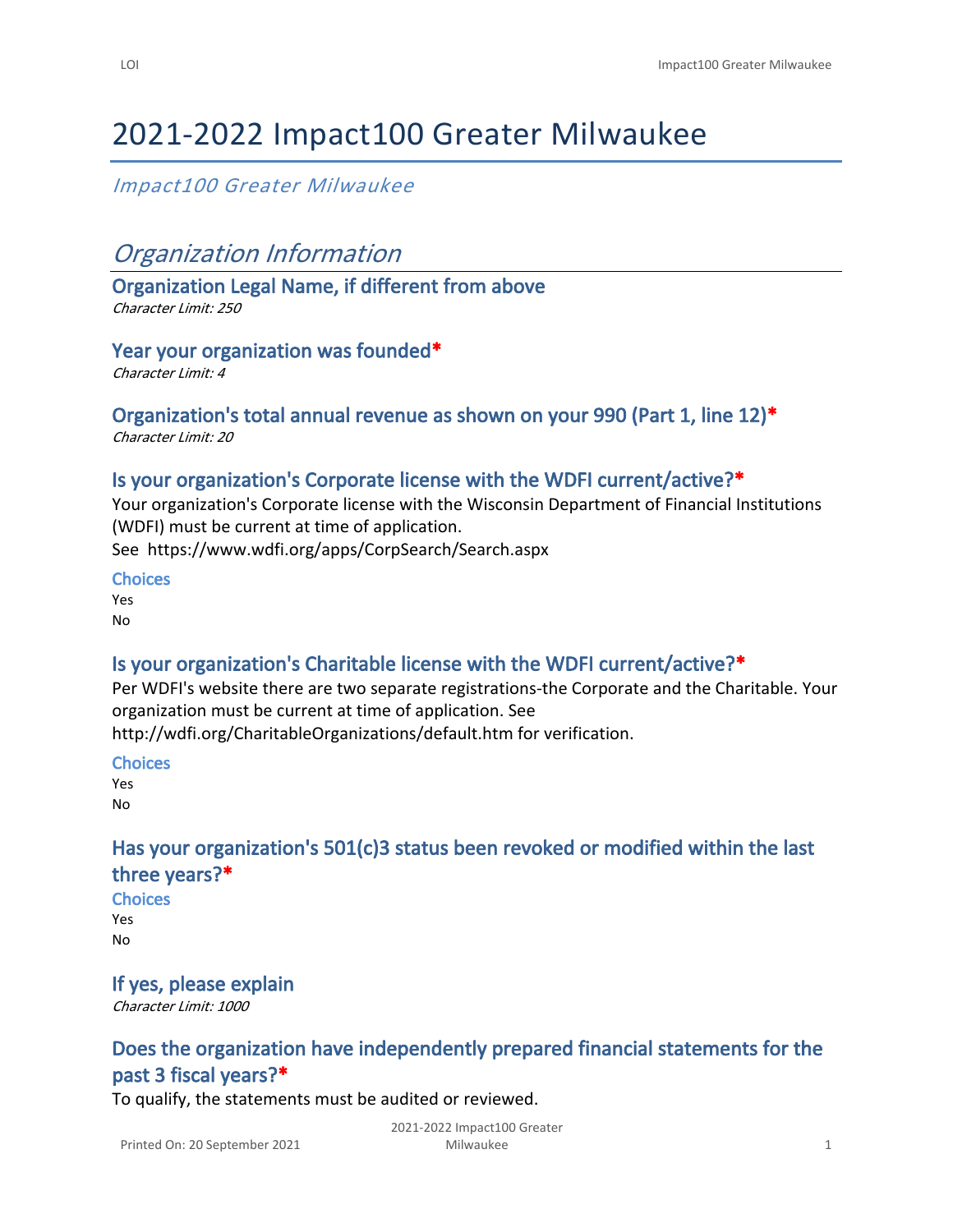# 2021-2022 Impact100 Greater Milwaukee

## *Impact100 Greater Milwaukee*

# *Organization Information*

**Organization Legal Name, if different from above** *Character Limit: 250*

**Year your organization was founded\*** *Character Limit: 4*

# **Organization's total annual revenue as shown on your 990 (Part 1, line 12)\***

*Character Limit: 20*

### **Is your organization's Corporate license with the WDFI current/active?\***

Your organization's Corporate license with the Wisconsin Department of Financial Institutions (WDFI) must be current at time of application.

See <https://www.wdfi.org/apps/CorpSearch/Search.aspx>

#### **Choices**

Yes No

### **Is your organization's Charitable license with the WDFI current/active?\***

Per WDFI's website there are two separate registrations-the Corporate and the Charitable. Your organization must be current at time of application. See

<http://wdfi.org/CharitableOrganizations/default.htm>for verification.

**Choices**

Yes No

## **Has your organization's 501(c)3 status been revoked or modified within the last three years?\***

**Choices** Yes No

### **If yes, please explain**

*Character Limit: 1000*

# **Does the organization have independently prepared financial statements for the past 3 fiscal years?\***

To qualify, the statements must be audited or reviewed.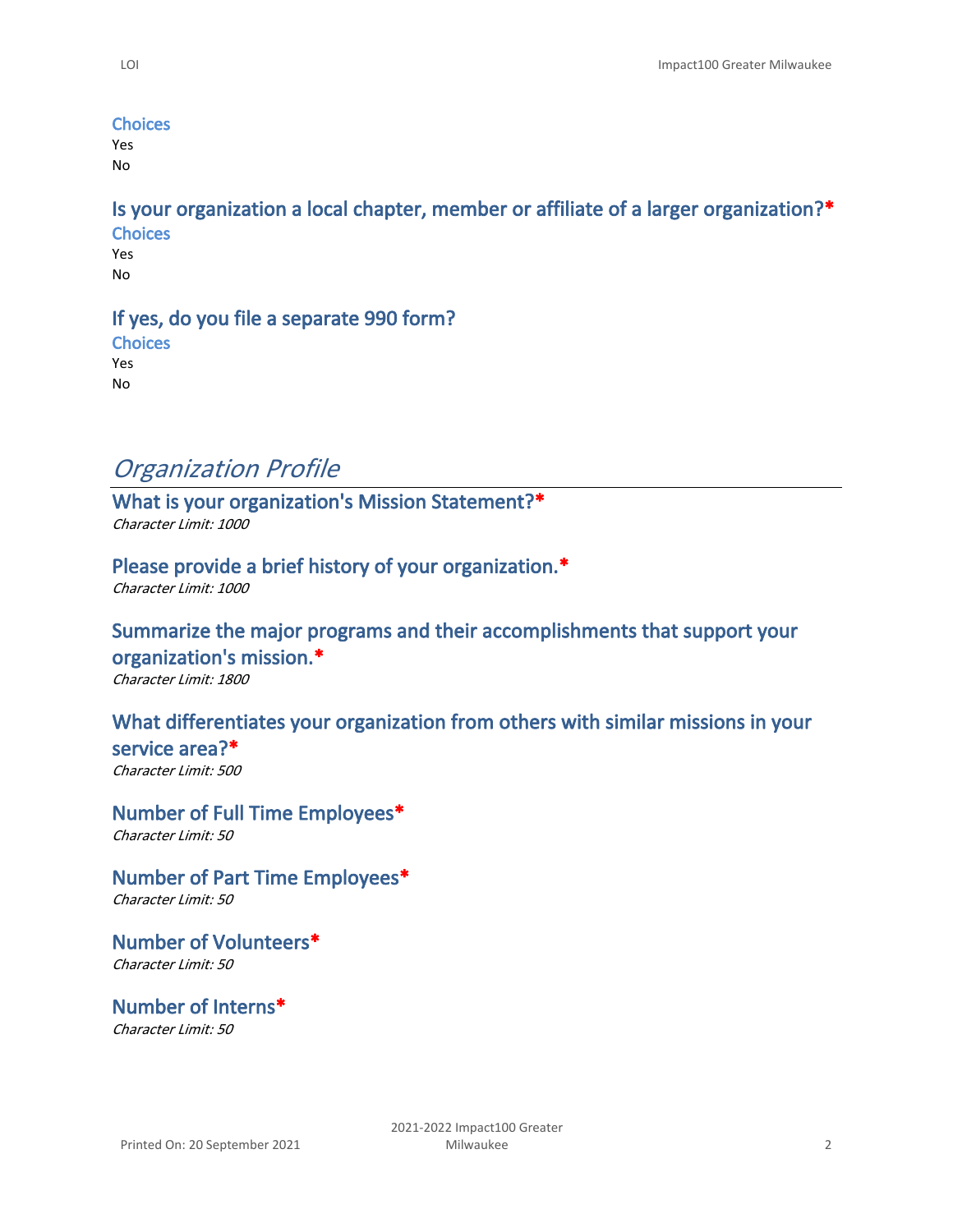#### **Choices**

Yes No

**Is your organization a local chapter, member or affiliate of a larger organization?\* Choices**

Yes No

#### **If yes, do you file a separate 990 form?**

**Choices** Yes No

## *Organization Profile*

**What is your organization's Mission Statement?\*** *Character Limit: 1000*

### **Please provide a brief history of your organization.\***

*Character Limit: 1000*

### **Summarize the major programs and their accomplishments that support your organization's mission.\***

*Character Limit: 1800*

### **What differentiates your organization from others with similar missions in your**

**service area?\*** *Character Limit: 500*

**Number of Full Time Employees\*** *Character Limit: 50*

**Number of Part Time Employees\*** *Character Limit: 50*

**Number of Volunteers\*** *Character Limit: 50*

**Number of Interns\*** *Character Limit: 50*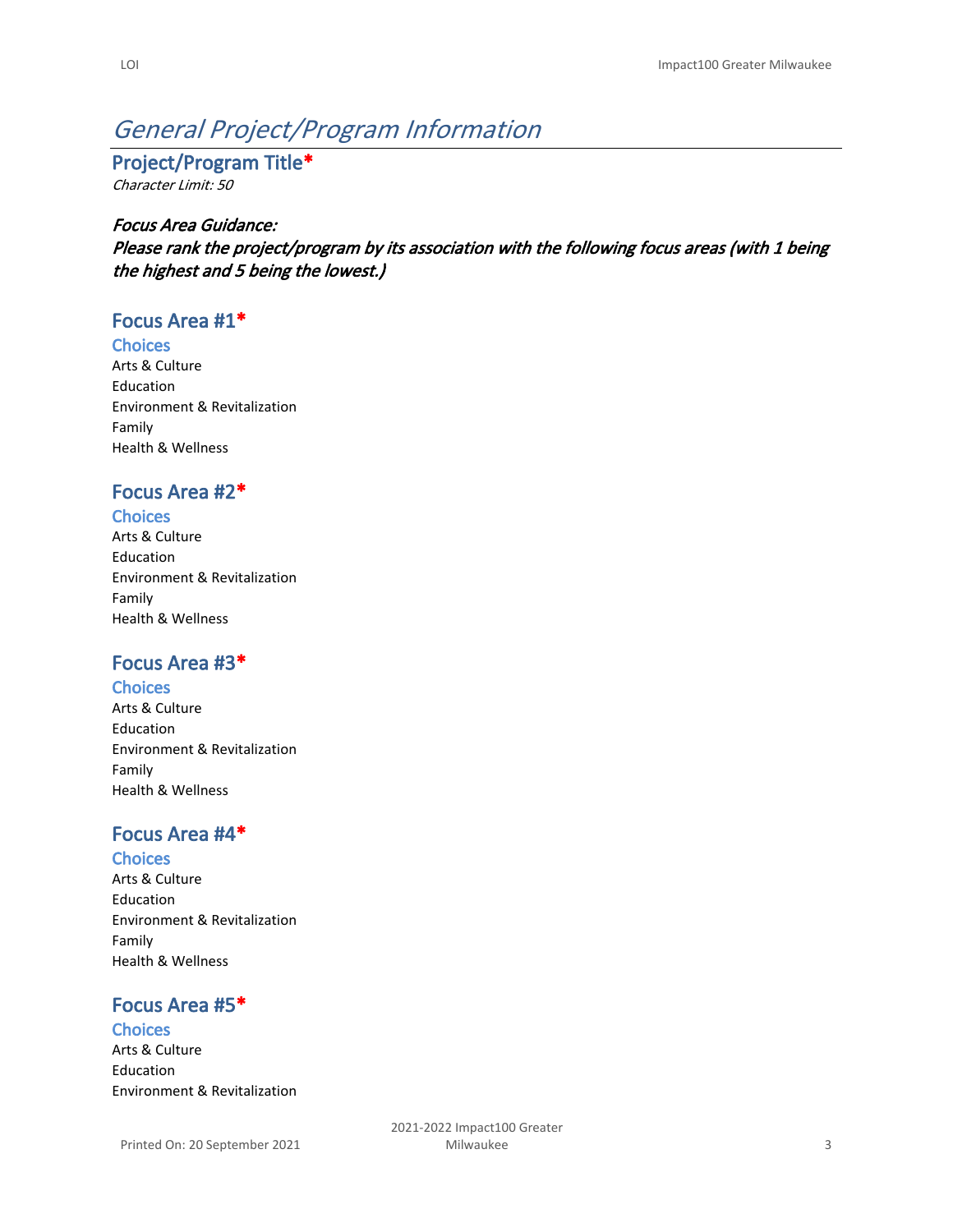# *General Project/Program Information*

**Project/Program Title\*** *Character Limit: 50*

#### *Focus Area Guidance:*

*Please rank the project/program by its association with the following focus areas (with 1 being the highest and 5 being the lowest.)*

### **Focus Area #1\***

#### **Choices**

Arts & Culture Education Environment & Revitalization Family Health & Wellness

### **Focus Area #2\***

#### **Choices**

Arts & Culture Education Environment & Revitalization Family Health & Wellness

### **Focus Area #3\***

#### **Choices**

Arts & Culture Education Environment & Revitalization Family Health & Wellness

### **Focus Area #4\***

#### **Choices**

Arts & Culture Education Environment & Revitalization Family Health & Wellness

## **Focus Area #5\***

#### **Choices**

Arts & Culture Education Environment & Revitalization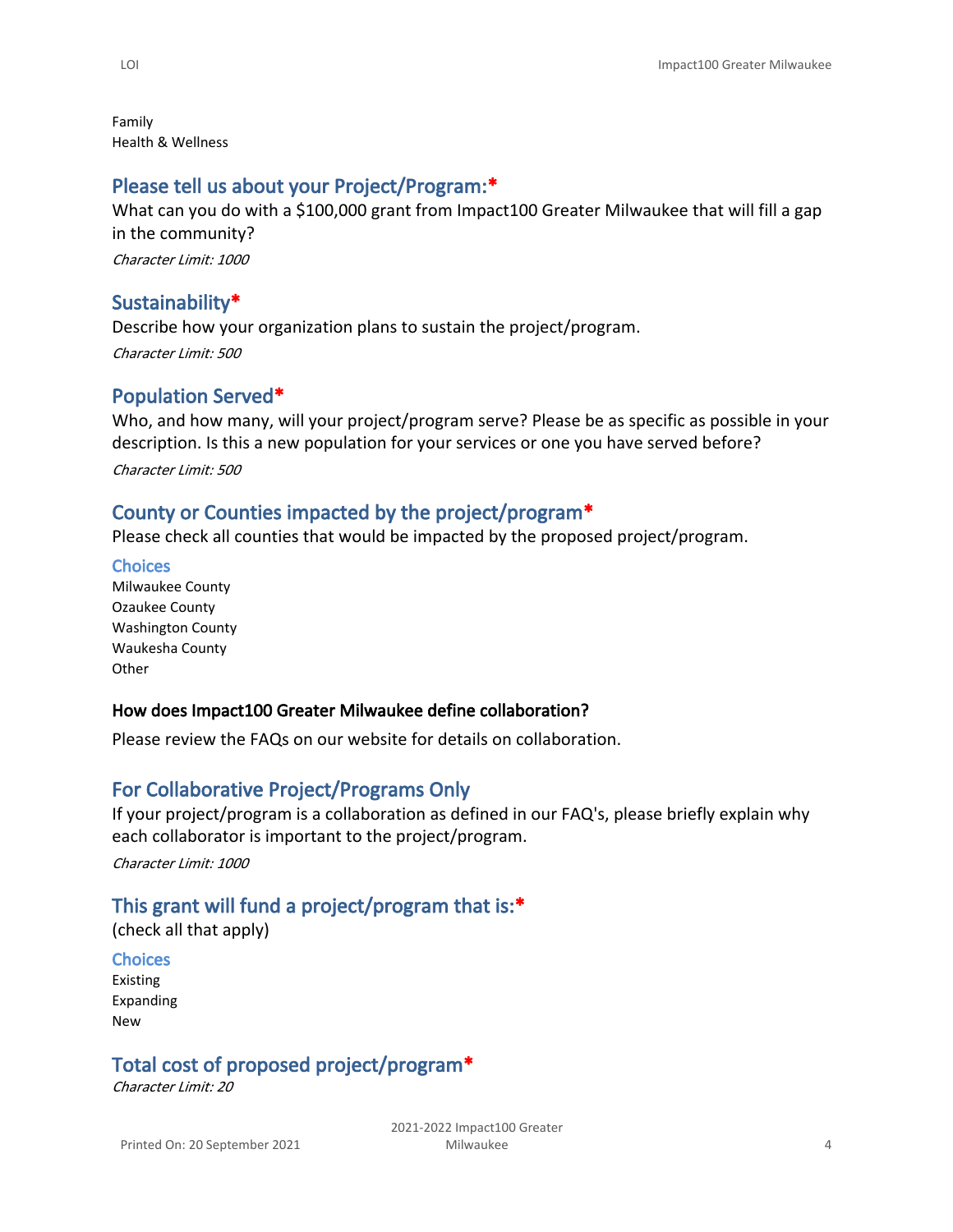Family Health & Wellness

### **Please tell us about your Project/Program:\***

What can you do with a \$100,000 grant from Impact100 Greater Milwaukee that will fill a gap in the community?

*Character Limit: 1000*

### **Sustainability\***

Describe how your organization plans to sustain the project/program. *Character Limit: 500*

### **Population Served\***

Who, and how many, will your project/program serve? Please be as specific as possible in your description. Is this a new population for your services or one you have served before? *Character Limit: 500*

### **County or Counties impacted by the project/program\***

Please check all counties that would be impacted by the proposed project/program.

**Choices** Milwaukee County Ozaukee County Washington County Waukesha County **Other** 

#### **How does Impact100 Greater Milwaukee define collaboration?**

Please review the [FAQs](http://impact100mke.org/grant-faq/) on our website for details on collaboration.

### **For Collaborative Project/Programs Only**

If your project/program is a collaboration as defined in our FAQ's, please briefly explain why each collaborator is important to the project/program.

*Character Limit: 1000*

### **This grant will fund a project/program that is:\***

(check all that apply)

#### **Choices**

Existing Expanding New

# **Total cost of proposed project/program\***

*Character Limit: 20*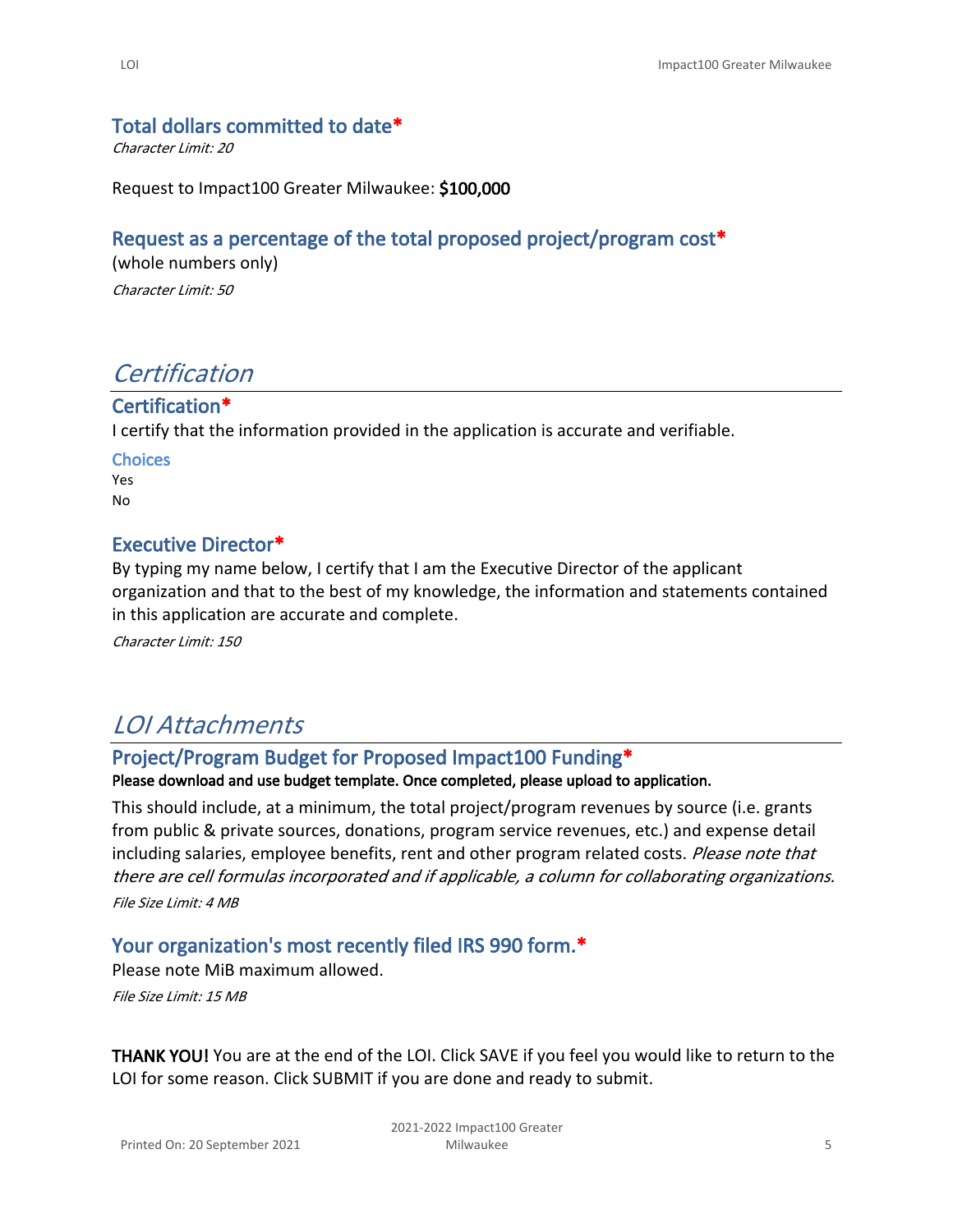### **Total dollars committed to date\***

*Character Limit: 20*

Request to Impact100 Greater Milwaukee: **\$100,000**

### **Request as a percentage of the total proposed project/program cost\***

(whole numbers only)

*Character Limit: 50*

# *Certification*

### **Certification\***

I certify that the information provided in the application is accurate and verifiable.

**Choices** Yes No

### **Executive Director\***

By typing my name below, I certify that I am the Executive Director of the applicant organization and that to the best of my knowledge, the information and statements contained in this application are accurate and complete.

*Character Limit: 150*

# *LOI Attachments*

### **Project/Program Budget for Proposed Impact100 Funding\***

**Please download and use [budget template.](https://impact100mke.z2systems.com/np/viewDocument?orgId=impact100mke&id=4028e48c57f58e3b01580853f8490098) Once completed, please upload to application.**

This should include, at a minimum, the total project/program revenues by source (i.e. grants from public & private sources, donations, program service revenues, etc.) and expense detail including salaries, employee benefits, rent and other program related costs. *Please note that there are cell formulas incorporated and if applicable, a column for collaborating organizations. File Size Limit: 4 MB*

### **Your organization's most recently filed IRS 990 form.\***

Please note MiB maximum allowed.

*File Size Limit: 15 MB*

**THANK YOU!** You are at the end of the LOI. Click SAVE if you feel you would like to return to the LOI for some reason. Click SUBMIT if you are done and ready to submit.